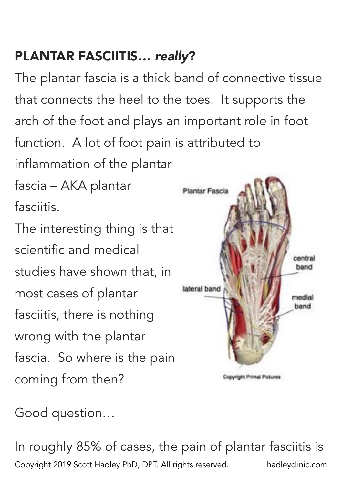## PLANTAR FASCIITIS… *really*?

The plantar fascia is a thick band of connective tissue that connects the heel to the toes. It supports the arch of the foot and plays an important role in foot function. A lot of foot pain is attributed to inflammation of the plantar fascia – AKA plantar Plantar Fascia fasciitis. The interesting thing is that scientific and medical central band studies have shown that, in lateral band most cases of plantar medial band fasciitis, there is nothing wrong with the plantar fascia. So where is the pain coming from then? Copyright Primal Pictures

Good question…

In roughly 85% of cases, the pain of plantar fasciitis is Copyright 2019 Scott Hadley PhD, DPT. All rights reserved. hadleyclinic.com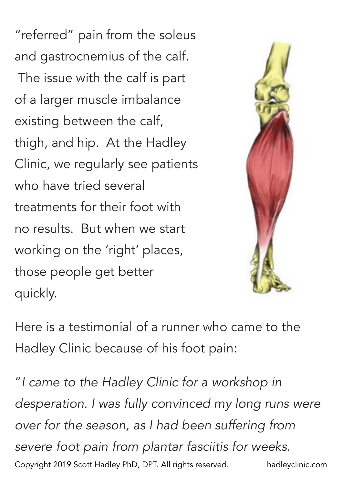"referred" pain from the soleus and gastrocnemius of the calf. The issue with the calf is part of a larger muscle imbalance existing between the calf, thigh, and hip. At the Hadley Clinic, we regularly see patients who have tried several treatments for their foot with no results. But when we start working on the 'right' places, those people get better quickly.



Here is a testimonial of a runner who came to the Hadley Clinic because of his foot pain:

"*I came to the Hadley Clinic for a workshop in desperation. I was fully convinced my long runs were over for the season, as I had been suffering from severe foot pain from plantar fasciitis for weeks.*  Copyright 2019 Scott Hadley PhD, DPT. All rights reserved. hadleyclinic.com